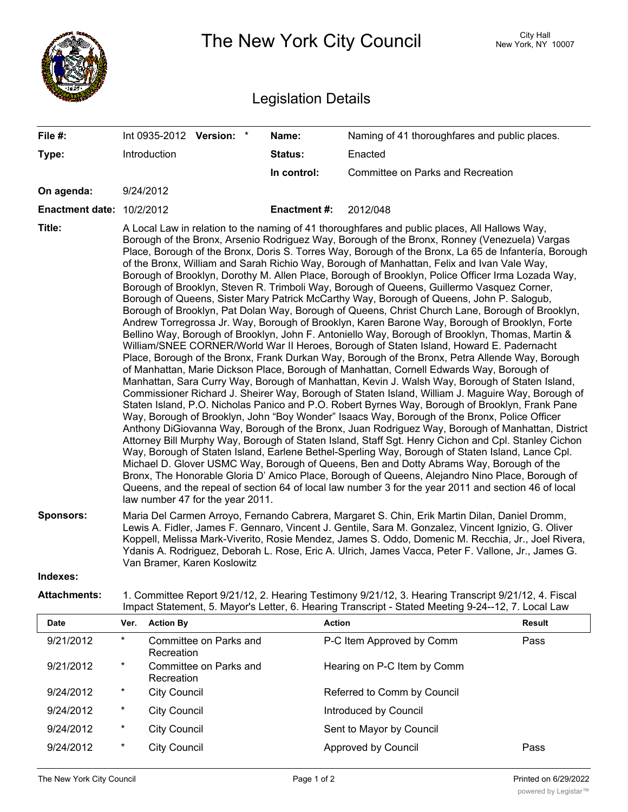|                                  | The New York City Council                                                                                                                                                                                                                                                                                                                                                                                                                                                                                                                                                                                                                                                                                                                                                                                                                                                                                                                                                                                                                                                                                                                                                                                                                                                                                                                                                                                                                                                                                                                                                                                                                                                                                                                                                                                                                                                                                                                                                                                                                                                                                                                                                                                                                                                                                                                                             |                                      |                    |                                               | City Hall<br>New York, NY 10007 |  |
|----------------------------------|-----------------------------------------------------------------------------------------------------------------------------------------------------------------------------------------------------------------------------------------------------------------------------------------------------------------------------------------------------------------------------------------------------------------------------------------------------------------------------------------------------------------------------------------------------------------------------------------------------------------------------------------------------------------------------------------------------------------------------------------------------------------------------------------------------------------------------------------------------------------------------------------------------------------------------------------------------------------------------------------------------------------------------------------------------------------------------------------------------------------------------------------------------------------------------------------------------------------------------------------------------------------------------------------------------------------------------------------------------------------------------------------------------------------------------------------------------------------------------------------------------------------------------------------------------------------------------------------------------------------------------------------------------------------------------------------------------------------------------------------------------------------------------------------------------------------------------------------------------------------------------------------------------------------------------------------------------------------------------------------------------------------------------------------------------------------------------------------------------------------------------------------------------------------------------------------------------------------------------------------------------------------------------------------------------------------------------------------------------------------------|--------------------------------------|--------------------|-----------------------------------------------|---------------------------------|--|
| <b>Legislation Details</b>       |                                                                                                                                                                                                                                                                                                                                                                                                                                                                                                                                                                                                                                                                                                                                                                                                                                                                                                                                                                                                                                                                                                                                                                                                                                                                                                                                                                                                                                                                                                                                                                                                                                                                                                                                                                                                                                                                                                                                                                                                                                                                                                                                                                                                                                                                                                                                                                       |                                      |                    |                                               |                                 |  |
| File #:                          |                                                                                                                                                                                                                                                                                                                                                                                                                                                                                                                                                                                                                                                                                                                                                                                                                                                                                                                                                                                                                                                                                                                                                                                                                                                                                                                                                                                                                                                                                                                                                                                                                                                                                                                                                                                                                                                                                                                                                                                                                                                                                                                                                                                                                                                                                                                                                                       | Int 0935-2012 Version: *             | Name:              | Naming of 41 thoroughfares and public places. |                                 |  |
| Type:                            |                                                                                                                                                                                                                                                                                                                                                                                                                                                                                                                                                                                                                                                                                                                                                                                                                                                                                                                                                                                                                                                                                                                                                                                                                                                                                                                                                                                                                                                                                                                                                                                                                                                                                                                                                                                                                                                                                                                                                                                                                                                                                                                                                                                                                                                                                                                                                                       | Introduction                         | <b>Status:</b>     | Enacted                                       |                                 |  |
|                                  |                                                                                                                                                                                                                                                                                                                                                                                                                                                                                                                                                                                                                                                                                                                                                                                                                                                                                                                                                                                                                                                                                                                                                                                                                                                                                                                                                                                                                                                                                                                                                                                                                                                                                                                                                                                                                                                                                                                                                                                                                                                                                                                                                                                                                                                                                                                                                                       |                                      | In control:        | Committee on Parks and Recreation             |                                 |  |
| On agenda:                       |                                                                                                                                                                                                                                                                                                                                                                                                                                                                                                                                                                                                                                                                                                                                                                                                                                                                                                                                                                                                                                                                                                                                                                                                                                                                                                                                                                                                                                                                                                                                                                                                                                                                                                                                                                                                                                                                                                                                                                                                                                                                                                                                                                                                                                                                                                                                                                       | 9/24/2012                            |                    |                                               |                                 |  |
| <b>Enactment date: 10/2/2012</b> |                                                                                                                                                                                                                                                                                                                                                                                                                                                                                                                                                                                                                                                                                                                                                                                                                                                                                                                                                                                                                                                                                                                                                                                                                                                                                                                                                                                                                                                                                                                                                                                                                                                                                                                                                                                                                                                                                                                                                                                                                                                                                                                                                                                                                                                                                                                                                                       |                                      | <b>Enactment#:</b> | 2012/048                                      |                                 |  |
| Title:                           | A Local Law in relation to the naming of 41 thoroughfares and public places, All Hallows Way,<br>Borough of the Bronx, Arsenio Rodriguez Way, Borough of the Bronx, Ronney (Venezuela) Vargas<br>Place, Borough of the Bronx, Doris S. Torres Way, Borough of the Bronx, La 65 de Infantería, Borough<br>of the Bronx, William and Sarah Richio Way, Borough of Manhattan, Felix and Ivan Vale Way,<br>Borough of Brooklyn, Dorothy M. Allen Place, Borough of Brooklyn, Police Officer Irma Lozada Way,<br>Borough of Brooklyn, Steven R. Trimboli Way, Borough of Queens, Guillermo Vasquez Corner,<br>Borough of Queens, Sister Mary Patrick McCarthy Way, Borough of Queens, John P. Salogub,<br>Borough of Brooklyn, Pat Dolan Way, Borough of Queens, Christ Church Lane, Borough of Brooklyn,<br>Andrew Torregrossa Jr. Way, Borough of Brooklyn, Karen Barone Way, Borough of Brooklyn, Forte<br>Bellino Way, Borough of Brooklyn, John F. Antoniello Way, Borough of Brooklyn, Thomas, Martin &<br>William/SNEE CORNER/World War II Heroes, Borough of Staten Island, Howard E. Padernacht<br>Place, Borough of the Bronx, Frank Durkan Way, Borough of the Bronx, Petra Allende Way, Borough<br>of Manhattan, Marie Dickson Place, Borough of Manhattan, Cornell Edwards Way, Borough of<br>Manhattan, Sara Curry Way, Borough of Manhattan, Kevin J. Walsh Way, Borough of Staten Island,<br>Commissioner Richard J. Sheirer Way, Borough of Staten Island, William J. Maguire Way, Borough of<br>Staten Island, P.O. Nicholas Panico and P.O. Robert Byrnes Way, Borough of Brooklyn, Frank Pane<br>Way, Borough of Brooklyn, John "Boy Wonder" Isaacs Way, Borough of the Bronx, Police Officer<br>Anthony DiGiovanna Way, Borough of the Bronx, Juan Rodriguez Way, Borough of Manhattan, District<br>Attorney Bill Murphy Way, Borough of Staten Island, Staff Sgt. Henry Cichon and Cpl. Stanley Cichon<br>Way, Borough of Staten Island, Earlene Bethel-Sperling Way, Borough of Staten Island, Lance Cpl.<br>Michael D. Glover USMC Way, Borough of Queens, Ben and Dotty Abrams Way, Borough of the<br>Bronx, The Honorable Gloria D' Amico Place, Borough of Queens, Alejandro Nino Place, Borough of<br>Queens, and the repeal of section 64 of local law number 3 for the year 2011 and section 46 of local<br>law number 47 for the year 2011. |                                      |                    |                                               |                                 |  |
| <b>Sponsors:</b>                 | Maria Del Carmen Arroyo, Fernando Cabrera, Margaret S. Chin, Erik Martin Dilan, Daniel Dromm,<br>Lewis A. Fidler, James F. Gennaro, Vincent J. Gentile, Sara M. Gonzalez, Vincent Ignizio, G. Oliver<br>Koppell, Melissa Mark-Viverito, Rosie Mendez, James S. Oddo, Domenic M. Recchia, Jr., Joel Rivera,<br>Ydanis A. Rodriguez, Deborah L. Rose, Eric A. Ulrich, James Vacca, Peter F. Vallone, Jr., James G.<br>Van Bramer, Karen Koslowitz                                                                                                                                                                                                                                                                                                                                                                                                                                                                                                                                                                                                                                                                                                                                                                                                                                                                                                                                                                                                                                                                                                                                                                                                                                                                                                                                                                                                                                                                                                                                                                                                                                                                                                                                                                                                                                                                                                                       |                                      |                    |                                               |                                 |  |
| Indexes:                         |                                                                                                                                                                                                                                                                                                                                                                                                                                                                                                                                                                                                                                                                                                                                                                                                                                                                                                                                                                                                                                                                                                                                                                                                                                                                                                                                                                                                                                                                                                                                                                                                                                                                                                                                                                                                                                                                                                                                                                                                                                                                                                                                                                                                                                                                                                                                                                       |                                      |                    |                                               |                                 |  |
| <b>Attachments:</b>              | 1. Committee Report 9/21/12, 2. Hearing Testimony 9/21/12, 3. Hearing Transcript 9/21/12, 4. Fiscal<br>Impact Statement, 5. Mayor's Letter, 6. Hearing Transcript - Stated Meeting 9-24--12, 7. Local Law                                                                                                                                                                                                                                                                                                                                                                                                                                                                                                                                                                                                                                                                                                                                                                                                                                                                                                                                                                                                                                                                                                                                                                                                                                                                                                                                                                                                                                                                                                                                                                                                                                                                                                                                                                                                                                                                                                                                                                                                                                                                                                                                                             |                                      |                    |                                               |                                 |  |
| Date                             | Ver.                                                                                                                                                                                                                                                                                                                                                                                                                                                                                                                                                                                                                                                                                                                                                                                                                                                                                                                                                                                                                                                                                                                                                                                                                                                                                                                                                                                                                                                                                                                                                                                                                                                                                                                                                                                                                                                                                                                                                                                                                                                                                                                                                                                                                                                                                                                                                                  | <b>Action By</b>                     |                    | <b>Action</b>                                 | <b>Result</b>                   |  |
| 9/21/2012                        | $\star$                                                                                                                                                                                                                                                                                                                                                                                                                                                                                                                                                                                                                                                                                                                                                                                                                                                                                                                                                                                                                                                                                                                                                                                                                                                                                                                                                                                                                                                                                                                                                                                                                                                                                                                                                                                                                                                                                                                                                                                                                                                                                                                                                                                                                                                                                                                                                               | Committee on Parks and<br>Recreation |                    | P-C Item Approved by Comm                     | Pass                            |  |
| 9/21/2012                        | $^\star$                                                                                                                                                                                                                                                                                                                                                                                                                                                                                                                                                                                                                                                                                                                                                                                                                                                                                                                                                                                                                                                                                                                                                                                                                                                                                                                                                                                                                                                                                                                                                                                                                                                                                                                                                                                                                                                                                                                                                                                                                                                                                                                                                                                                                                                                                                                                                              | Committee on Parks and<br>Recreation |                    | Hearing on P-C Item by Comm                   |                                 |  |
| 9/24/2012                        | $\ast$                                                                                                                                                                                                                                                                                                                                                                                                                                                                                                                                                                                                                                                                                                                                                                                                                                                                                                                                                                                                                                                                                                                                                                                                                                                                                                                                                                                                                                                                                                                                                                                                                                                                                                                                                                                                                                                                                                                                                                                                                                                                                                                                                                                                                                                                                                                                                                | <b>City Council</b>                  |                    | Referred to Comm by Council                   |                                 |  |
| 9/24/2012                        | $\ast$                                                                                                                                                                                                                                                                                                                                                                                                                                                                                                                                                                                                                                                                                                                                                                                                                                                                                                                                                                                                                                                                                                                                                                                                                                                                                                                                                                                                                                                                                                                                                                                                                                                                                                                                                                                                                                                                                                                                                                                                                                                                                                                                                                                                                                                                                                                                                                | <b>City Council</b>                  |                    | Introduced by Council                         |                                 |  |
| 9/24/2012                        | $\ast$                                                                                                                                                                                                                                                                                                                                                                                                                                                                                                                                                                                                                                                                                                                                                                                                                                                                                                                                                                                                                                                                                                                                                                                                                                                                                                                                                                                                                                                                                                                                                                                                                                                                                                                                                                                                                                                                                                                                                                                                                                                                                                                                                                                                                                                                                                                                                                | <b>City Council</b>                  |                    | Sent to Mayor by Council                      |                                 |  |
| 9/24/2012                        | $\ast$                                                                                                                                                                                                                                                                                                                                                                                                                                                                                                                                                                                                                                                                                                                                                                                                                                                                                                                                                                                                                                                                                                                                                                                                                                                                                                                                                                                                                                                                                                                                                                                                                                                                                                                                                                                                                                                                                                                                                                                                                                                                                                                                                                                                                                                                                                                                                                | <b>City Council</b>                  |                    | Approved by Council                           | Pass                            |  |